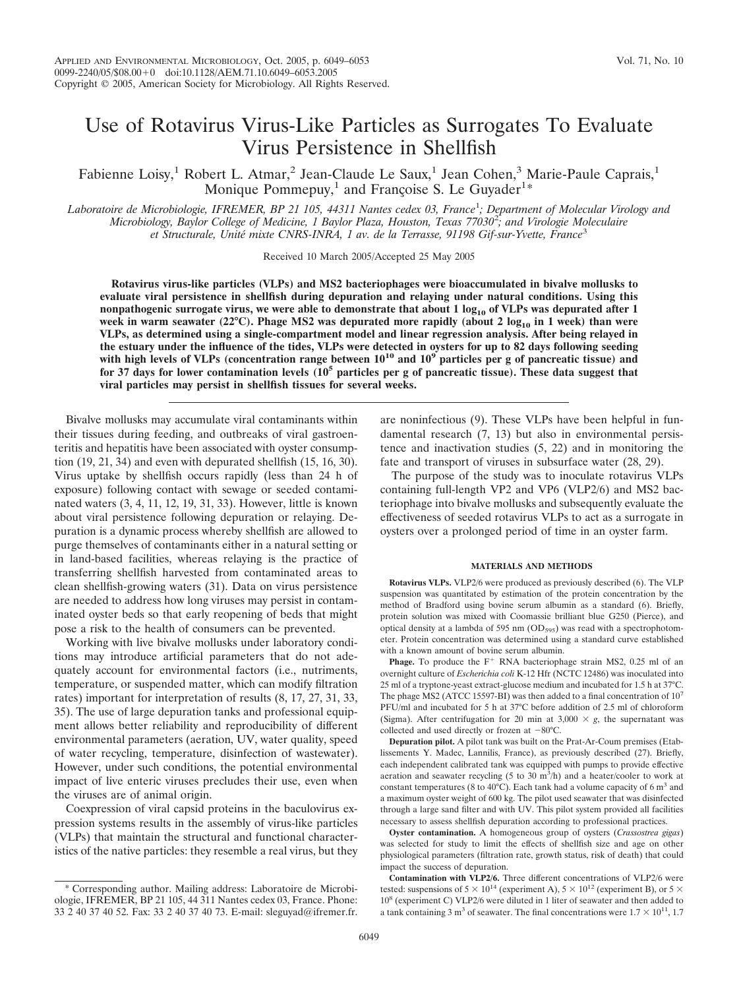# Use of Rotavirus Virus-Like Particles as Surrogates To Evaluate Virus Persistence in Shellfish

Fabienne Loisy,<sup>1</sup> Robert L. Atmar,<sup>2</sup> Jean-Claude Le Saux,<sup>1</sup> Jean Cohen,<sup>3</sup> Marie-Paule Caprais,<sup>1</sup> Monique Pommepuy,<sup>1</sup> and Françoise S. Le Guyader<sup>1\*</sup>

*Laboratoire de Microbiologie, IFREMER, BP 21 105, 44311 Nantes cedex 03, France*<sup>1</sup> *; Department of Molecular Virology and Microbiology, Baylor College of Medicine, 1 Baylor Plaza, Houston, Texas 77030*<sup>2</sup> *; and Virologie Moleculaire et Structurale, Unite´ mixte CNRS-INRA, 1 av. de la Terrasse, 91198 Gif-sur-Yvette, France*<sup>3</sup>

Received 10 March 2005/Accepted 25 May 2005

**Rotavirus virus-like particles (VLPs) and MS2 bacteriophages were bioaccumulated in bivalve mollusks to evaluate viral persistence in shellfish during depuration and relaying under natural conditions. Using this nonpathogenic surrogate virus, we were able to demonstrate that about 1 log<sub>10</sub> of VLPs was depurated after 1** week in warm seawater (22°C). Phage MS2 was depurated more rapidly (about 2 log<sub>10</sub> in 1 week) than were **VLPs, as determined using a single-compartment model and linear regression analysis. After being relayed in the estuary under the influence of the tides, VLPs were detected in oysters for up to 82 days following seeding** with high levels of VLPs (concentration range between  $10^{10}$  and  $10^9$  particles per g of pancreatic tissue) and **for 37 days for lower contamination levels (105 particles per g of pancreatic tissue). These data suggest that viral particles may persist in shellfish tissues for several weeks.**

Bivalve mollusks may accumulate viral contaminants within their tissues during feeding, and outbreaks of viral gastroenteritis and hepatitis have been associated with oyster consumption (19, 21, 34) and even with depurated shellfish (15, 16, 30). Virus uptake by shellfish occurs rapidly (less than 24 h of exposure) following contact with sewage or seeded contaminated waters (3, 4, 11, 12, 19, 31, 33). However, little is known about viral persistence following depuration or relaying. Depuration is a dynamic process whereby shellfish are allowed to purge themselves of contaminants either in a natural setting or in land-based facilities, whereas relaying is the practice of transferring shellfish harvested from contaminated areas to clean shellfish-growing waters (31). Data on virus persistence are needed to address how long viruses may persist in contaminated oyster beds so that early reopening of beds that might pose a risk to the health of consumers can be prevented.

Working with live bivalve mollusks under laboratory conditions may introduce artificial parameters that do not adequately account for environmental factors (i.e., nutriments, temperature, or suspended matter, which can modify filtration rates) important for interpretation of results (8, 17, 27, 31, 33, 35). The use of large depuration tanks and professional equipment allows better reliability and reproducibility of different environmental parameters (aeration, UV, water quality, speed of water recycling, temperature, disinfection of wastewater). However, under such conditions, the potential environmental impact of live enteric viruses precludes their use, even when the viruses are of animal origin.

Coexpression of viral capsid proteins in the baculovirus expression systems results in the assembly of virus-like particles (VLPs) that maintain the structural and functional characteristics of the native particles: they resemble a real virus, but they are noninfectious (9). These VLPs have been helpful in fundamental research (7, 13) but also in environmental persistence and inactivation studies (5, 22) and in monitoring the fate and transport of viruses in subsurface water (28, 29).

The purpose of the study was to inoculate rotavirus VLPs containing full-length VP2 and VP6 (VLP2/6) and MS2 bacteriophage into bivalve mollusks and subsequently evaluate the effectiveness of seeded rotavirus VLPs to act as a surrogate in oysters over a prolonged period of time in an oyster farm.

#### **MATERIALS AND METHODS**

**Rotavirus VLPs.** VLP2/6 were produced as previously described (6). The VLP suspension was quantitated by estimation of the protein concentration by the method of Bradford using bovine serum albumin as a standard (6). Briefly, protein solution was mixed with Coomassie brilliant blue G250 (Pierce), and optical density at a lambda of 595 nm  $(OD_{595})$  was read with a spectrophotometer. Protein concentration was determined using a standard curve established with a known amount of bovine serum albumin.

**Phage.** To produce the  $F^+$  RNA bacteriophage strain MS2, 0.25 ml of an overnight culture of *Escherichia coli* K-12 Hfr (NCTC 12486) was inoculated into 25 ml of a tryptone-yeast extract-glucose medium and incubated for 1.5 h at 37°C. The phage MS2 (ATCC 15597-BI) was then added to a final concentration of  $10<sup>7</sup>$ PFU/ml and incubated for 5 h at 37°C before addition of 2.5 ml of chloroform (Sigma). After centrifugation for 20 min at  $3,000 \times g$ , the supernatant was collected and used directly or frozen at  $-80^{\circ}$ C.

**Depuration pilot.** A pilot tank was built on the Prat-Ar-Coum premises (Etablissements Y. Madec, Lannilis, France), as previously described (27). Briefly, each independent calibrated tank was equipped with pumps to provide effective aeration and seawater recycling  $(5 \text{ to } 30 \text{ m}^3/h)$  and a heater/cooler to work at constant temperatures (8 to 40°C). Each tank had a volume capacity of 6  $m<sup>3</sup>$  and a maximum oyster weight of 600 kg. The pilot used seawater that was disinfected through a large sand filter and with UV. This pilot system provided all facilities necessary to assess shellfish depuration according to professional practices.

**Oyster contamination.** A homogeneous group of oysters (*Crassostrea gigas*) was selected for study to limit the effects of shellfish size and age on other physiological parameters (filtration rate, growth status, risk of death) that could impact the success of depuration.

**Contamination with VLP2/6.** Three different concentrations of VLP2/6 were tested: suspensions of  $5 \times 10^{14}$  (experiment A),  $5 \times 10^{12}$  (experiment B), or  $5 \times$ 10<sup>8</sup> (experiment C) VLP2/6 were diluted in 1 liter of seawater and then added to a tank containing 3 m<sup>3</sup> of seawater. The final concentrations were  $1.7 \times 10^{11}$ , 1.7

<sup>\*</sup> Corresponding author. Mailing address: Laboratoire de Microbiologie, IFREMER, BP 21 105, 44 311 Nantes cedex 03, France. Phone: 33 2 40 37 40 52. Fax: 33 2 40 37 40 73. E-mail: sleguyad@ifremer.fr.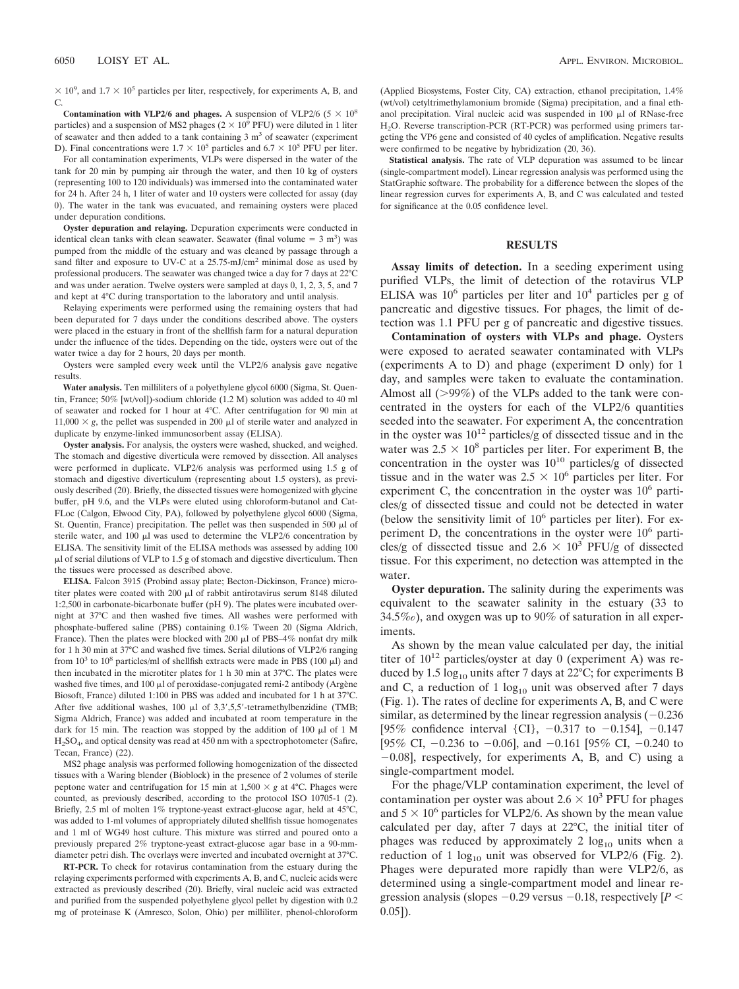$\times$  10<sup>9</sup>, and 1.7  $\times$  10<sup>5</sup> particles per liter, respectively, for experiments A, B, and C.

**Contamination with VLP2/6 and phages.** A suspension of VLP2/6 ( $5 \times 10^8$ particles) and a suspension of MS2 phages ( $2 \times 10^9$  PFU) were diluted in 1 liter of seawater and then added to a tank containing  $3 \text{ m}^3$  of seawater (experiment D). Final concentrations were  $1.7 \times 10^5$  particles and  $6.7 \times 10^5$  PFU per liter.

For all contamination experiments, VLPs were dispersed in the water of the tank for 20 min by pumping air through the water, and then 10 kg of oysters (representing 100 to 120 individuals) was immersed into the contaminated water for 24 h. After 24 h, 1 liter of water and 10 oysters were collected for assay (day 0). The water in the tank was evacuated, and remaining oysters were placed under depuration conditions.

**Oyster depuration and relaying.** Depuration experiments were conducted in identical clean tanks with clean seawater. Seawater (final volume  $= 3$  m<sup>3</sup>) was pumped from the middle of the estuary and was cleaned by passage through a sand filter and exposure to UV-C at a 25.75-mJ/cm<sup>2</sup> minimal dose as used by professional producers. The seawater was changed twice a day for 7 days at 22°C and was under aeration. Twelve oysters were sampled at days 0, 1, 2, 3, 5, and 7 and kept at 4°C during transportation to the laboratory and until analysis.

Relaying experiments were performed using the remaining oysters that had been depurated for 7 days under the conditions described above. The oysters were placed in the estuary in front of the shellfish farm for a natural depuration under the influence of the tides. Depending on the tide, oysters were out of the water twice a day for 2 hours, 20 days per month.

Oysters were sampled every week until the VLP2/6 analysis gave negative results.

**Water analysis.** Ten milliliters of a polyethylene glycol 6000 (Sigma, St. Quentin, France; 50% [wt/vol])-sodium chloride (1.2 M) solution was added to 40 ml of seawater and rocked for 1 hour at 4°C. After centrifugation for 90 min at  $11,000 \times g$ , the pellet was suspended in 200  $\mu$ l of sterile water and analyzed in duplicate by enzyme-linked immunosorbent assay (ELISA).

**Oyster analysis.** For analysis, the oysters were washed, shucked, and weighed. The stomach and digestive diverticula were removed by dissection. All analyses were performed in duplicate. VLP2/6 analysis was performed using 1.5 g of stomach and digestive diverticulum (representing about 1.5 oysters), as previously described (20). Briefly, the dissected tissues were homogenized with glycine buffer, pH 9.6, and the VLPs were eluted using chloroform-butanol and Cat-FLoc (Calgon, Elwood City, PA), followed by polyethylene glycol 6000 (Sigma, St. Quentin, France) precipitation. The pellet was then suspended in 500  $\mu$ l of sterile water, and 100  $\mu$ l was used to determine the VLP2/6 concentration by ELISA. The sensitivity limit of the ELISA methods was assessed by adding 100  $\mu$ l of serial dilutions of VLP to 1.5 g of stomach and digestive diverticulum. Then the tissues were processed as described above.

**ELISA.** Falcon 3915 (Probind assay plate; Becton-Dickinson, France) microtiter plates were coated with 200  $\mu$ l of rabbit antirotavirus serum 8148 diluted 1:2,500 in carbonate-bicarbonate buffer (pH 9). The plates were incubated overnight at 37°C and then washed five times. All washes were performed with phosphate-buffered saline (PBS) containing 0.1% Tween 20 (Sigma Aldrich, France). Then the plates were blocked with 200  $\mu$ l of PBS–4% nonfat dry milk for 1 h 30 min at 37°C and washed five times. Serial dilutions of VLP2/6 ranging from  $10^3$  to  $10^8$  particles/ml of shellfish extracts were made in PBS (100  $\mu$ l) and then incubated in the microtiter plates for 1 h 30 min at 37°C. The plates were washed five times, and 100  $\mu$ l of peroxidase-conjugated remi-2 antibody (Argène Biosoft, France) diluted 1:100 in PBS was added and incubated for 1 h at 37°C. After five additional washes, 100  $\mu$ l of 3,3',5,5'-tetramethylbenzidine (TMB; Sigma Aldrich, France) was added and incubated at room temperature in the dark for 15 min. The reaction was stopped by the addition of 100  $\mu$ l of 1 M H2SO4, and optical density was read at 450 nm with a spectrophotometer (Safire, Tecan, France) (22).

MS2 phage analysis was performed following homogenization of the dissected tissues with a Waring blender (Bioblock) in the presence of 2 volumes of sterile peptone water and centrifugation for 15 min at  $1,500 \times g$  at 4°C. Phages were counted, as previously described, according to the protocol ISO 10705-1 (2). Briefly, 2.5 ml of molten 1% tryptone-yeast extract-glucose agar, held at 45°C, was added to 1-ml volumes of appropriately diluted shellfish tissue homogenates and 1 ml of WG49 host culture. This mixture was stirred and poured onto a previously prepared 2% tryptone-yeast extract-glucose agar base in a 90-mmdiameter petri dish. The overlays were inverted and incubated overnight at 37°C.

**RT-PCR.** To check for rotavirus contamination from the estuary during the relaying experiments performed with experiments A, B, and C, nucleic acids were extracted as previously described (20). Briefly, viral nucleic acid was extracted and purified from the suspended polyethylene glycol pellet by digestion with 0.2 mg of proteinase K (Amresco, Solon, Ohio) per milliliter, phenol-chloroform

(Applied Biosystems, Foster City, CA) extraction, ethanol precipitation, 1.4% (wt/vol) cetyltrimethylamonium bromide (Sigma) precipitation, and a final ethanol precipitation. Viral nucleic acid was suspended in 100  $\mu$ l of RNase-free H<sub>2</sub>O. Reverse transcription-PCR (RT-PCR) was performed using primers targeting the VP6 gene and consisted of 40 cycles of amplification. Negative results were confirmed to be negative by hybridization (20, 36).

**Statistical analysis.** The rate of VLP depuration was assumed to be linear (single-compartment model). Linear regression analysis was performed using the StatGraphic software. The probability for a difference between the slopes of the linear regression curves for experiments A, B, and C was calculated and tested for significance at the 0.05 confidence level.

## **RESULTS**

**Assay limits of detection.** In a seeding experiment using purified VLPs, the limit of detection of the rotavirus VLP ELISA was  $10^6$  particles per liter and  $10^4$  particles per g of pancreatic and digestive tissues. For phages, the limit of detection was 1.1 PFU per g of pancreatic and digestive tissues.

**Contamination of oysters with VLPs and phage.** Oysters were exposed to aerated seawater contaminated with VLPs (experiments A to D) and phage (experiment D only) for 1 day, and samples were taken to evaluate the contamination. Almost all  $(>99\%)$  of the VLPs added to the tank were concentrated in the oysters for each of the VLP2/6 quantities seeded into the seawater. For experiment A, the concentration in the oyster was  $10^{12}$  particles/g of dissected tissue and in the water was  $2.5 \times 10^8$  particles per liter. For experiment B, the concentration in the oyster was  $10^{10}$  particles/g of dissected tissue and in the water was  $2.5 \times 10^6$  particles per liter. For experiment C, the concentration in the oyster was  $10^6$  particles/g of dissected tissue and could not be detected in water (below the sensitivity limit of  $10^6$  particles per liter). For experiment D, the concentrations in the oyster were  $10<sup>6</sup>$  particles/g of dissected tissue and 2.6  $\times$  10<sup>3</sup> PFU/g of dissected tissue. For this experiment, no detection was attempted in the water.

**Oyster depuration.** The salinity during the experiments was equivalent to the seawater salinity in the estuary (33 to 34.5‰), and oxygen was up to 90% of saturation in all experiments.

As shown by the mean value calculated per day, the initial titer of  $10^{12}$  particles/oyster at day 0 (experiment A) was reduced by 1.5  $log_{10}$  units after 7 days at 22°C; for experiments B and C, a reduction of 1  $log_{10}$  unit was observed after 7 days (Fig. 1). The rates of decline for experiments A, B, and C were similar, as determined by the linear regression analysis  $(-0.236$ [95% confidence interval {CI},  $-0.317$  to  $-0.154$ ],  $-0.147$ [95% CI,  $-0.236$  to  $-0.06$ ], and  $-0.161$  [95% CI,  $-0.240$  to  $-0.08$ ], respectively, for experiments A, B, and C) using a single-compartment model.

For the phage/VLP contamination experiment, the level of contamination per oyster was about 2.6  $\times$  10<sup>3</sup> PFU for phages and  $5 \times 10^6$  particles for VLP2/6. As shown by the mean value calculated per day, after 7 days at 22°C, the initial titer of phages was reduced by approximately 2  $log_{10}$  units when a reduction of 1  $log_{10}$  unit was observed for VLP2/6 (Fig. 2). Phages were depurated more rapidly than were VLP2/6, as determined using a single-compartment model and linear regression analysis (slopes  $-0.29$  versus  $-0.18$ , respectively [*P* < 0.05]).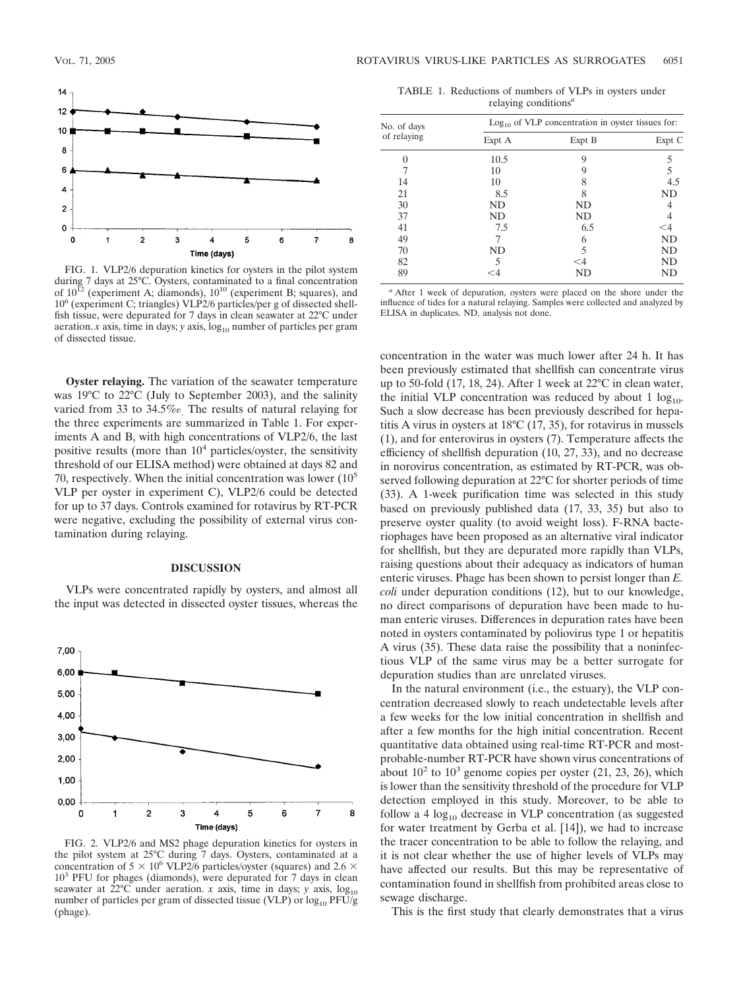

FIG. 1. VLP2/6 depuration kinetics for oysters in the pilot system during 7 days at 25°C. Oysters, contaminated to a final concentration of  $10^{12}$  (experiment A; diamonds),  $10^{10}$  (experiment B; squares), and 106 (experiment C; triangles) VLP2/6 particles/per g of dissected shellfish tissue, were depurated for 7 days in clean seawater at 22°C under aeration.  $x$  axis, time in days;  $y$  axis,  $log_{10}$  number of particles per gram of dissected tissue.

**Oyster relaying.** The variation of the seawater temperature was 19°C to 22°C (July to September 2003), and the salinity varied from 33 to 34.5‰. The results of natural relaying for the three experiments are summarized in Table 1. For experiments A and B, with high concentrations of VLP2/6, the last positive results (more than  $10<sup>4</sup>$  particles/oyster, the sensitivity threshold of our ELISA method) were obtained at days 82 and 70, respectively. When the initial concentration was lower  $(10<sup>5</sup>)$ VLP per oyster in experiment C), VLP2/6 could be detected for up to 37 days. Controls examined for rotavirus by RT-PCR were negative, excluding the possibility of external virus contamination during relaying.

## **DISCUSSION**

VLPs were concentrated rapidly by oysters, and almost all the input was detected in dissected oyster tissues, whereas the



FIG. 2. VLP2/6 and MS2 phage depuration kinetics for oysters in the pilot system at 25°C during 7 days. Oysters, contaminated at a concentration of 5  $\times$  10<sup>6</sup> VLP2/6 particles/oyster (squares) and 2.6  $\times$ 103 PFU for phages (diamonds), were depurated for 7 days in clean seawater at  $22^{\circ}$ C under aeration. *x* axis, time in days; *y* axis,  $log_{10}$ number of particles per gram of dissected tissue (VLP) or  $log_{10}$  PFU/g (phage).

| TABLE 1. Reductions of numbers of VLPs in oysters under |  |
|---------------------------------------------------------|--|
| relaying conditions <sup><math>a</math></sup>           |  |

| No. of days | $Log10$ of VLP concentration in oyster tissues for: |        |           |
|-------------|-----------------------------------------------------|--------|-----------|
| of relaying | Expt A                                              | Expt B | Expt C    |
|             | 10.5                                                | 9      |           |
|             | 10                                                  | 9      | 5         |
| 14          | 10                                                  | 8      | 4.5       |
| 21          | 8.5                                                 | 8      | <b>ND</b> |
| 30          | <b>ND</b>                                           | ND     |           |
| 37          | <b>ND</b>                                           | ND     |           |
| 41          | 7.5                                                 | 6.5    | ${<}4$    |
| 49          |                                                     | 6      | <b>ND</b> |
| 70          | ND                                                  | 5      | ND        |
| 82          |                                                     | $<$ 4  | ND        |
| 89          |                                                     | ND     | ND        |

*<sup>a</sup>* After 1 week of depuration, oysters were placed on the shore under the influence of tides for a natural relaying. Samples were collected and analyzed by ELISA in duplicates. ND, analysis not done.

concentration in the water was much lower after 24 h. It has been previously estimated that shellfish can concentrate virus up to 50-fold (17, 18, 24). After 1 week at 22°C in clean water, the initial VLP concentration was reduced by about 1  $log_{10}$ . Such a slow decrease has been previously described for hepatitis A virus in oysters at 18°C (17, 35), for rotavirus in mussels (1), and for enterovirus in oysters (7). Temperature affects the efficiency of shellfish depuration (10, 27, 33), and no decrease in norovirus concentration, as estimated by RT-PCR, was observed following depuration at 22°C for shorter periods of time (33). A 1-week purification time was selected in this study based on previously published data (17, 33, 35) but also to preserve oyster quality (to avoid weight loss). F-RNA bacteriophages have been proposed as an alternative viral indicator for shellfish, but they are depurated more rapidly than VLPs, raising questions about their adequacy as indicators of human enteric viruses. Phage has been shown to persist longer than *E. coli* under depuration conditions (12), but to our knowledge, no direct comparisons of depuration have been made to human enteric viruses. Differences in depuration rates have been noted in oysters contaminated by poliovirus type 1 or hepatitis A virus (35). These data raise the possibility that a noninfectious VLP of the same virus may be a better surrogate for depuration studies than are unrelated viruses.

In the natural environment (i.e., the estuary), the VLP concentration decreased slowly to reach undetectable levels after a few weeks for the low initial concentration in shellfish and after a few months for the high initial concentration. Recent quantitative data obtained using real-time RT-PCR and mostprobable-number RT-PCR have shown virus concentrations of about  $10^2$  to  $10^3$  genome copies per oyster (21, 23, 26), which is lower than the sensitivity threshold of the procedure for VLP detection employed in this study. Moreover, to be able to follow a 4  $log_{10}$  decrease in VLP concentration (as suggested for water treatment by Gerba et al. [14]), we had to increase the tracer concentration to be able to follow the relaying, and it is not clear whether the use of higher levels of VLPs may have affected our results. But this may be representative of contamination found in shellfish from prohibited areas close to sewage discharge.

This is the first study that clearly demonstrates that a virus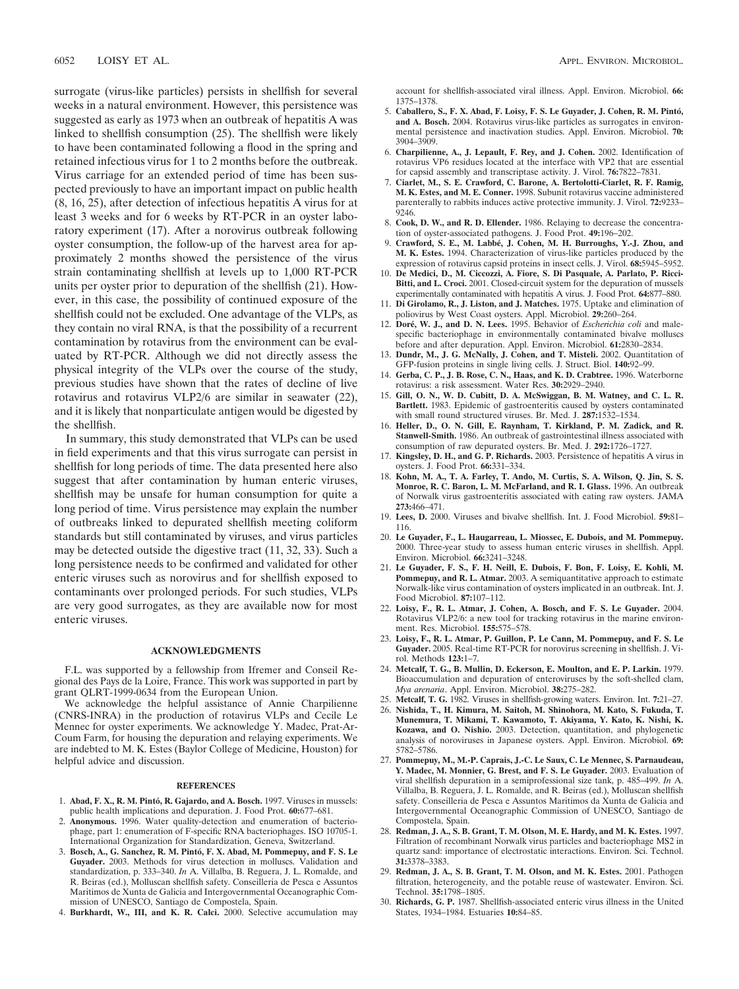surrogate (virus-like particles) persists in shellfish for several weeks in a natural environment. However, this persistence was suggested as early as 1973 when an outbreak of hepatitis A was linked to shellfish consumption (25). The shellfish were likely to have been contaminated following a flood in the spring and retained infectious virus for 1 to 2 months before the outbreak. Virus carriage for an extended period of time has been suspected previously to have an important impact on public health (8, 16, 25), after detection of infectious hepatitis A virus for at least 3 weeks and for 6 weeks by RT-PCR in an oyster laboratory experiment (17). After a norovirus outbreak following oyster consumption, the follow-up of the harvest area for approximately 2 months showed the persistence of the virus strain contaminating shellfish at levels up to 1,000 RT-PCR units per oyster prior to depuration of the shellfish (21). However, in this case, the possibility of continued exposure of the shellfish could not be excluded. One advantage of the VLPs, as they contain no viral RNA, is that the possibility of a recurrent contamination by rotavirus from the environment can be evaluated by RT-PCR. Although we did not directly assess the physical integrity of the VLPs over the course of the study, previous studies have shown that the rates of decline of live rotavirus and rotavirus VLP2/6 are similar in seawater (22), and it is likely that nonparticulate antigen would be digested by the shellfish.

In summary, this study demonstrated that VLPs can be used in field experiments and that this virus surrogate can persist in shellfish for long periods of time. The data presented here also suggest that after contamination by human enteric viruses, shellfish may be unsafe for human consumption for quite a long period of time. Virus persistence may explain the number of outbreaks linked to depurated shellfish meeting coliform standards but still contaminated by viruses, and virus particles may be detected outside the digestive tract (11, 32, 33). Such a long persistence needs to be confirmed and validated for other enteric viruses such as norovirus and for shellfish exposed to contaminants over prolonged periods. For such studies, VLPs are very good surrogates, as they are available now for most enteric viruses.

### **ACKNOWLEDGMENTS**

F.L. was supported by a fellowship from Ifremer and Conseil Regional des Pays de la Loire, France. This work was supported in part by grant QLRT-1999-0634 from the European Union.

We acknowledge the helpful assistance of Annie Charpilienne (CNRS-INRA) in the production of rotavirus VLPs and Cecile Le Mennec for oyster experiments. We acknowledge Y. Madec, Prat-Ar-Coum Farm, for housing the depuration and relaying experiments. We are indebted to M. K. Estes (Baylor College of Medicine, Houston) for helpful advice and discussion.

#### **REFERENCES**

- 1. **Abad, F. X., R. M. Pinto´, R. Gajardo, and A. Bosch.** 1997. Viruses in mussels: public health implications and depuration. J. Food Prot. **60:**677–681.
- 2. **Anonymous.** 1996. Water quality-detection and enumeration of bacteriophage, part 1: enumeration of F-specific RNA bacteriophages. ISO 10705-1. International Organization for Standardization, Geneva, Switzerland.
- 3. **Bosch, A., G. Sanchez, R. M. Pinto´, F. X. Abad, M. Pommepuy, and F. S. Le Guyader.** 2003. Methods for virus detection in molluscs. Validation and standardization, p. 333–340. *In* A. Villalba, B. Reguera, J. L. Romalde, and R. Beiras (ed.), Molluscan shellfish safety. Conseilleria de Pesca e Assuntos Maritimos de Xunta de Galicia and Intergovernmental Oceanographic Commission of UNESCO, Santiago de Compostela, Spain.
- 4. **Burkhardt, W., III, and K. R. Calci.** 2000. Selective accumulation may

account for shellfish-associated viral illness. Appl. Environ. Microbiol. **66:** 1375–1378.

- 5. **Caballero, S., F. X. Abad, F. Loisy, F. S. Le Guyader, J. Cohen, R. M. Pinto´, and A. Bosch.** 2004. Rotavirus virus-like particles as surrogates in environmental persistence and inactivation studies. Appl. Environ. Microbiol. **70:** 3904–3909.
- 6. **Charpilienne, A., J. Lepault, F. Rey, and J. Cohen.** 2002. Identification of rotavirus VP6 residues located at the interface with VP2 that are essential for capsid assembly and transcriptase activity. J. Virol. **76:**7822–7831.
- 7. **Ciarlet, M., S. E. Crawford, C. Barone, A. Bertolotti-Ciarlet, R. F. Ramig, M. K. Estes, and M. E. Conner.** 1998. Subunit rotavirus vaccine administered parenterally to rabbits induces active protective immunity. J. Virol. **72:**9233– 9246.
- 8. **Cook, D. W., and R. D. Ellender.** 1986. Relaying to decrease the concentration of oyster-associated pathogens. J. Food Prot. **49:**196–202.
- 9. **Crawford, S. E., M. Labbe´, J. Cohen, M. H. Burroughs, Y.-J. Zhou, and M. K. Estes.** 1994. Characterization of virus-like particles produced by the expression of rotavirus capsid proteins in insect cells. J. Virol. **68:**5945–5952.
- 10. **De Medici, D., M. Ciccozzi, A. Fiore, S. Di Pasquale, A. Parlato, P. Ricci-Bitti, and L. Croci.** 2001. Closed-circuit system for the depuration of mussels experimentally contaminated with hepatitis A virus. J. Food Prot. **64:**877–880.
- 11. **Di Girolamo, R., J. Liston, and J. Matches.** 1975. Uptake and elimination of poliovirus by West Coast oysters. Appl. Microbiol. **29:**260–264.
- 12. Doré, W. J., and D. N. Lees. 1995. Behavior of *Escherichia coli* and malespecific bacteriophage in environmentally contaminated bivalve molluscs before and after depuration. Appl. Environ. Microbiol. **61:**2830–2834.
- 13. **Dundr, M., J. G. McNally, J. Cohen, and T. Misteli.** 2002. Quantitation of GFP-fusion proteins in single living cells. J. Struct. Biol. **140:**92–99.
- 14. **Gerba, C. P., J. B. Rose, C. N., Haas, and K. D. Crabtree.** 1996. Waterborne rotavirus: a risk assessment. Water Res. **30:**2929–2940.
- 15. **Gill, O. N., W. D. Cubitt, D. A. McSwiggan, B. M. Watney, and C. L. R. Bartlett.** 1983. Epidemic of gastroenteritis caused by oysters contaminated with small round structured viruses. Br. Med. J. **287:**1532–1534.
- 16. **Heller, D., O. N. Gill, E. Raynham, T. Kirkland, P. M. Zadick, and R. Stanwell-Smith.** 1986. An outbreak of gastrointestinal illness associated with consumption of raw depurated oysters. Br. Med. J. **292:**1726–1727.
- 17. **Kingsley, D. H., and G. P. Richards.** 2003. Persistence of hepatitis A virus in oysters. J. Food Prot. **66:**331–334.
- 18. **Kohn, M. A., T. A. Farley, T. Ando, M. Curtis, S. A. Wilson, Q. Jin, S. S. Monroe, R. C. Baron, L. M. McFarland, and R. I. Glass.** 1996. An outbreak of Norwalk virus gastroenteritis associated with eating raw oysters. JAMA **273:**466–471.
- 19. **Lees, D.** 2000. Viruses and bivalve shellfish. Int. J. Food Microbiol. **59:**81– 116.
- 20. **Le Guyader, F., L. Haugarreau, L. Miossec, E. Dubois, and M. Pommepuy.** 2000. Three-year study to assess human enteric viruses in shellfish. Appl. Environ. Microbiol. **66:**3241–3248.
- 21. **Le Guyader, F. S., F. H. Neill, E. Dubois, F. Bon, F. Loisy, E. Kohli, M. Pommepuy, and R. L. Atmar.** 2003. A semiquantitative approach to estimate Norwalk-like virus contamination of oysters implicated in an outbreak. Int. J. Food Microbiol. **87:**107–112.
- 22. **Loisy, F., R. L. Atmar, J. Cohen, A. Bosch, and F. S. Le Guyader.** 2004. Rotavirus VLP2/6: a new tool for tracking rotavirus in the marine environment. Res. Microbiol. **155:**575–578.
- 23. **Loisy, F., R. L. Atmar, P. Guillon, P. Le Cann, M. Pommepuy, and F. S. Le Guyader.** 2005. Real-time RT-PCR for norovirus screening in shellfish. J. Virol. Methods **123:**1–7.
- 24. **Metcalf, T. G., B. Mullin, D. Eckerson, E. Moulton, and E. P. Larkin.** 1979. Bioaccumulation and depuration of enteroviruses by the soft-shelled clam, *Mya arenaria*. Appl. Environ. Microbiol. **38:**275–282.
- 25. **Metcalf, T. G.** 1982. Viruses in shellfish-growing waters. Environ. Int. **7:**21–27. 26. **Nishida, T., H. Kimura, M. Saitoh, M. Shinohora, M. Kato, S. Fukuda, T.**
- **Munemura, T. Mikami, T. Kawamoto, T. Akiyama, Y. Kato, K. Nishi, K. Kozawa, and O. Nishio.** 2003. Detection, quantitation, and phylogenetic analysis of noroviruses in Japanese oysters. Appl. Environ. Microbiol. **69:** 5782–5786.
- 27. **Pommepuy, M., M.-P. Caprais, J.-C. Le Saux, C. Le Mennec, S. Parnaudeau, Y. Madec, M. Monnier, G. Brest, and F. S. Le Guyader.** 2003. Evaluation of viral shellfish depuration in a semiprofessional size tank, p. 485–499. *In* A. Villalba, B. Reguera, J. L. Romalde, and R. Beiras (ed.), Molluscan shellfish safety. Conseilleria de Pesca e Assuntos Maritimos da Xunta de Galicia and Intergovernmental Oceanographic Commission of UNESCO, Santiago de Compostela, Spain.
- 28. **Redman, J. A., S. B. Grant, T. M. Olson, M. E. Hardy, and M. K. Estes.** 1997. Filtration of recombinant Norwalk virus particles and bacteriophage MS2 in quartz sand: importance of electrostatic interactions. Environ. Sci. Technol. **31:**3378–3383.
- 29. **Redman, J. A., S. B. Grant, T. M. Olson, and M. K. Estes.** 2001. Pathogen filtration, heterogeneity, and the potable reuse of wastewater. Environ. Sci. Technol. **35:**1798–1805.
- 30. **Richards, G. P.** 1987. Shellfish-associated enteric virus illness in the United States, 1934–1984. Estuaries **10:**84–85.